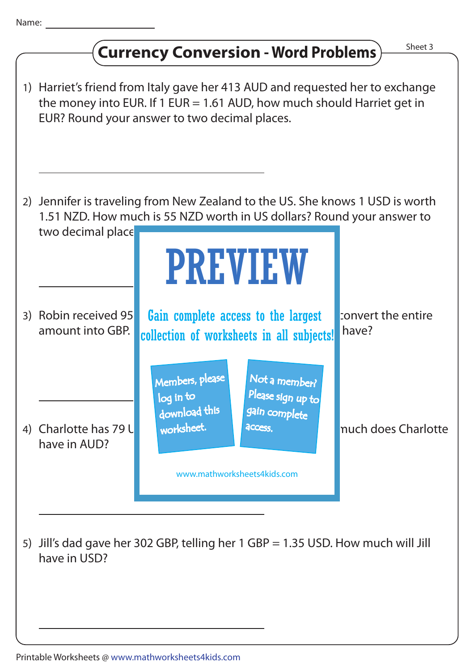